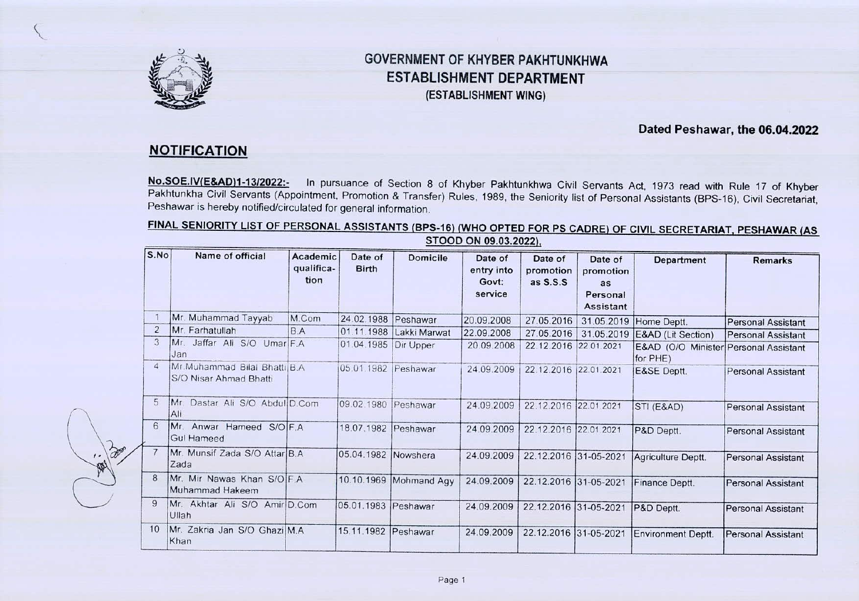

# GOVERNMENT OF KHYBER PAKHTUNKHWA ESTABLISHMENT DEPARTMENT **(ESTABLISHMENT WING)**

#### **Dated Peshawar, the 06.04.2022**

## **NOTIFICATION**

 $\sqrt{2}$ 

 $\sim$ 

**No.S0E.IV(E&AD)1-1312022:.** In pursuance of Section 8 of Khyber Pakhtunkhwa Civil Servants Act, 1973 read with Rule 17 of Khyber Pakhtunkha Civil Servants (Appointment, Promotion & Transfer) Rules, 1989, the Seniority list of Personal Assistants (BPS-16), Civil Secretariat, Peshawar is hereby notified/circulated for general information.

#### FINAL SENIORITY LIST OF PERSONAL ASSISTANTS **(BPS-16)** (WHO **OPTED FOR PS CADRE)** OF CIVIL SECRETARIAT, PESHAWAR **(AS**  STOOD ON **09.03.2022),**

| S.No           | Name of official                                         | Academic<br>qualifica-<br>tion | Date of<br><b>Birth</b> | <b>Domicile</b>         | Date of<br>entry into<br>Govt:<br>service | Date of<br>promotion<br>as S.S.S. | Date of<br>promotion<br>as<br>Personal<br><b>Assistant</b> | <b>Department</b>                                 | <b>Remarks</b>            |
|----------------|----------------------------------------------------------|--------------------------------|-------------------------|-------------------------|-------------------------------------------|-----------------------------------|------------------------------------------------------------|---------------------------------------------------|---------------------------|
|                | Mr. Muhammad Tayyab                                      | M.Com                          | 24.02.1988 Peshawar     |                         | 20.09.2008                                | 27.05.2016                        |                                                            | 31.05.2019 Home Deptt.                            | <b>Personal Assistant</b> |
| $\overline{2}$ | Mr. Farhatullah                                          | B.A                            |                         | 01.11.1988 Lakki Marwat | 22.09.2008                                | 27.05.2016                        | 31.05.2019                                                 | E&AD (Lit Section)                                | <b>Personal Assistant</b> |
| 3              | Mr. Jaffar Ali S/O Umar F.A<br>Jan                       |                                | 01.04.1985 Dir Upper    |                         | 20.09.2008                                | 22.12.2016 22.01.2021             |                                                            | E&AD (O/O Minister Personal Assistant<br>for PHE) |                           |
| $\overline{4}$ | Mr. Muhammad Bilai Bhatti B.A.<br>S/O Nisar Ahmad Bhatti |                                | 05.01.1982   Peshawar   |                         | 24.09.2009                                | 22.12.2016 22.01.2021             |                                                            | E&SE Deptt.                                       | <b>Personal Assistant</b> |
| 5              | <b>Mr</b><br>Dastar Ali S/O Abdul D.Com<br>Ali           |                                | 09.02.1980 Peshawar     |                         | 24.09.2009                                | 22.12.2016 22.01.2021             |                                                            | STI (E&AD)                                        | <b>Personal Assistant</b> |
| 6              | Mr.<br>Anwar Hameed S/O F.A.<br>Gul Hameed               |                                | 18.07.1982 Peshawar     |                         | 24.09.2009                                | 22.12.2016 22.01.2021             |                                                            | P&D Deptt.                                        | <b>Personal Assistant</b> |
|                | Mr. Munsif Zada S/O Attar B.A.<br>Zada                   |                                | 05.04.1982 Nowshera     |                         | 24.09.2009                                | 22.12.2016 31-05-2021             |                                                            | Agriculture Deptt.                                | Personal Assistant        |
| 8              | Mr. Mir Nawas Khan S/O F.A.<br>Muhammad Hakeem           |                                |                         | 10.10.1969 Mohmand Agy  | 24.09.2009                                | 22.12.2016 31-05-2021             |                                                            | Finance Deptt.                                    | <b>Personal Assistant</b> |
| 9              | Mr. Akhtar Ali S/O Amir D.Com<br>Ullah                   |                                | 05.01.1983 Peshawar     |                         | 24.09.2009                                | 22.12.2016 31-05-2021             |                                                            | P&D Deptt.                                        | <b>Personal Assistant</b> |
| 10             | Mr. Zakria Jan S/O Ghazi M.A.<br>Khan                    |                                | 15.11.1982 Peshawar     |                         | 24.09.2009                                | 22.12.2016 31-05-2021             |                                                            | Environment Deptt.                                | <b>Personal Assistant</b> |

Page 1